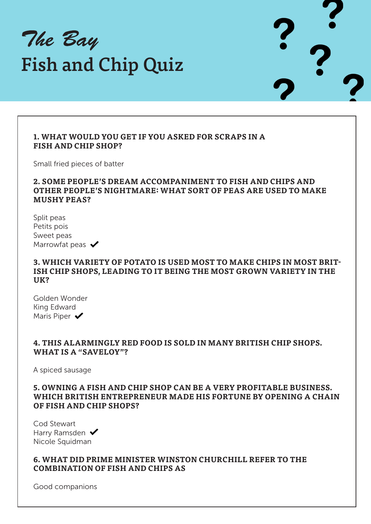The Bay Fish and Chip Quiz

## **1. WHAT WOULD YOU GET IF YOU ASKED FOR SCRAPS IN A FISH AND CHIP SHOP?**

Small fried pieces of batter

## **2. SOME PEOPLE'S DREAM ACCOMPANIMENT TO FISH AND CHIPS AND OTHER PEOPLE'S NIGHTMARE: WHAT SORT OF PEAS ARE USED TO MAKE MUSHY PEAS?**

Split peas Petits pois Sweet peas Marrowfat peas  $\blacktriangleright$ 

## **3. WHICH VARIETY OF POTATO IS USED MOST TO MAKE CHIPS IN MOST BRIT-ISH CHIP SHOPS, LEADING TO IT BEING THE MOST GROWN VARIETY IN THE UK?**

Golden Wonder King Edward Maris Piper  $\blacktriangledown$ 

## **4. THIS ALARMINGLY RED FOOD IS SOLD IN MANY BRITISH CHIP SHOPS. WHAT IS A "SAVELOY"?**

A spiced sausage

## **5. OWNING A FISH AND CHIP SHOP CAN BE A VERY PROFITABLE BUSINESS. WHICH BRITISH ENTREPRENEUR MADE HIS FORTUNE BY OPENING A CHAIN OF FISH AND CHIP SHOPS?**

Cod Stewart Harry Ramsden  $\blacktriangledown$ Nicole Squidman

**6. WHAT DID PRIME MINISTER WINSTON CHURCHILL REFER TO THE COMBINATION OF FISH AND CHIPS AS**

Good companions